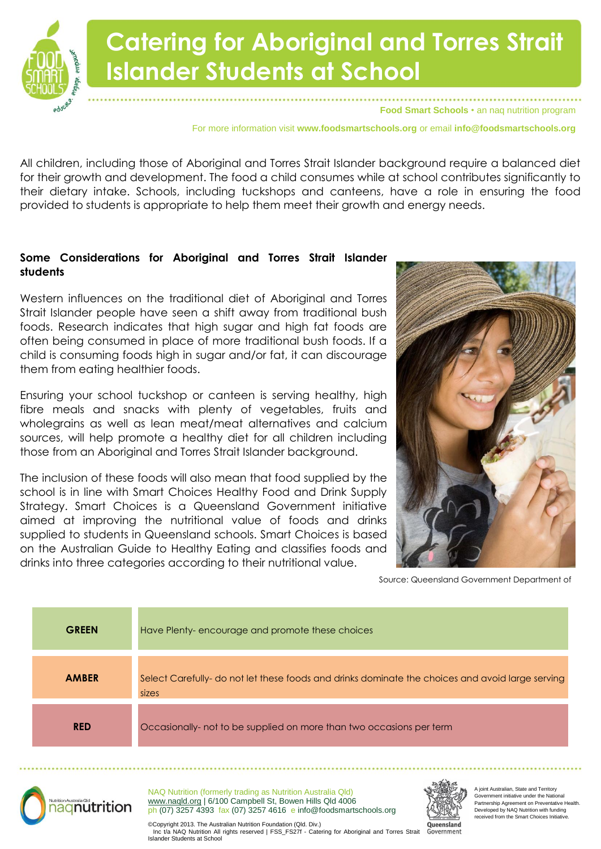

**Food Smart Schools** • an naq nutrition program

For more information visit **www.foodsmartschools.org** or email **info@foodsmartschools.org**

All children, including those of Aboriginal and Torres Strait Islander background require a balanced diet for their growth and development. The food a child consumes while at school contributes significantly to their dietary intake. Schools, including tuckshops and canteens, have a role in ensuring the food provided to students is appropriate to help them meet their growth and energy needs.

#### **Some Considerations for Aboriginal and Torres Strait Islander students**

Western influences on the traditional diet of Aboriginal and Torres Strait Islander people have seen a shift away from traditional bush foods. Research indicates that high sugar and high fat foods are often being consumed in place of more traditional bush foods. If a child is consuming foods high in sugar and/or fat, it can discourage them from eating healthier foods.

Ensuring your school tuckshop or canteen is serving healthy, high fibre meals and snacks with plenty of vegetables, fruits and wholegrains as well as lean meat/meat alternatives and calcium sources, will help promote a healthy diet for all children including those from an Aboriginal and Torres Strait Islander background.

The inclusion of these foods will also mean that food supplied by the school is in line with Smart Choices Healthy Food and Drink Supply Strategy. Smart Choices is a Queensland Government initiative aimed at improving the nutritional value of foods and drinks supplied to students in Queensland schools. Smart Choices is based on the Australian Guide to Healthy Eating and classifies foods and drinks into three categories according to their nutritional value.



Source: Queensland Government Department of

| <b>GREEN</b> | Have Plenty-encourage and promote these choices                                                           |
|--------------|-----------------------------------------------------------------------------------------------------------|
| <b>AMBER</b> | Select Carefully- do not let these foods and drinks dominate the choices and avoid large serving<br>sizes |
| <b>RED</b>   | Occasionally- not to be supplied on more than two occasions per term                                      |
|              |                                                                                                           |



NAQ Nutrition (formerly trading as Nutrition Australia Qld) www.naqld.org | 6/100 Campbell St, Bowen Hills Qld 4006 ph (07) 3257 4393 fax (07) 3257 4616 e info@foodsmartschools.org



ioint Australian, State and Territory Government initiative under the National Partnership Agreement on Preventative Health. Developed by NAQ Nutrition with funding received from the Smart Choices Initiative.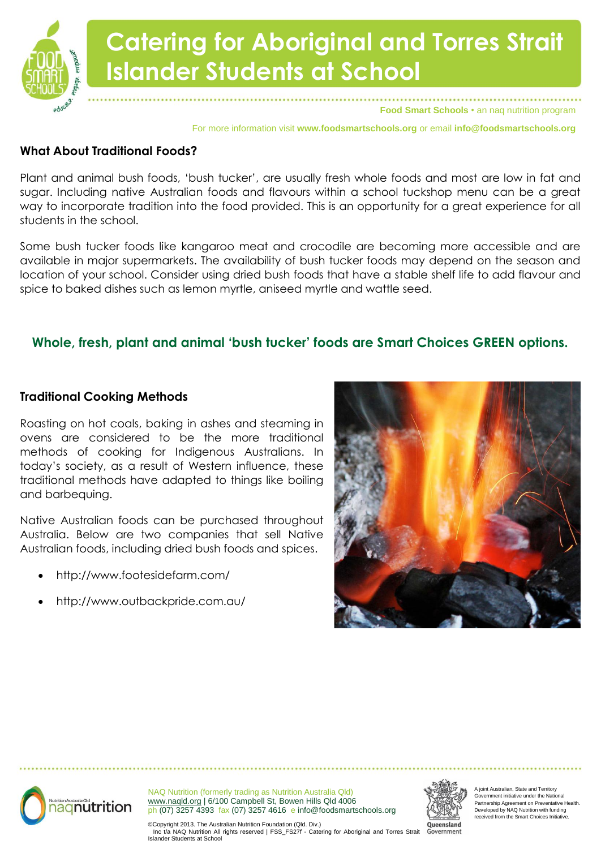

For more information visit **www.foodsmartschools.org** or email **info@foodsmartschools.org**

### **What About Traditional Foods?**

Plant and animal bush foods, 'bush tucker', are usually fresh whole foods and most are low in fat and sugar. Including native Australian foods and flavours within a school tuckshop menu can be a areat way to incorporate tradition into the food provided. This is an opportunity for a great experience for all students in the school.

Some bush tucker foods like kangaroo meat and crocodile are becoming more accessible and are available in major supermarkets. The availability of bush tucker foods may depend on the season and location of your school. Consider using dried bush foods that have a stable shelf life to add flavour and spice to baked dishes such as lemon myrtle, aniseed myrtle and wattle seed.

### **Whole, fresh, plant and animal 'bush tucker' foods are Smart Choices GREEN options.**

### **Traditional Cooking Methods**

Roasting on hot coals, baking in ashes and steaming in ovens are considered to be the more traditional methods of cooking for Indigenous Australians. In today's society, as a result of Western influence, these traditional methods have adapted to things like boiling and barbequing.

Native Australian foods can be purchased throughout Australia. Below are two companies that sell Native Australian foods, including dried bush foods and spices.

- http://www.footesidefarm.com/
- http://www.outbackpride.com.au/





NAQ Nutrition (formerly trading as Nutrition Australia Qld) www.naqld.org | 6/100 Campbell St, Bowen Hills Qld 4006 ph (07) 3257 4393 fax (07) 3257 4616 e info@foodsmartschools.org



ioint Australian, State and Territory Government initiative under the National Partnership Agreement on Preventative Health. Developed by NAQ Nutrition with funding received from the Smart Choices Initiative.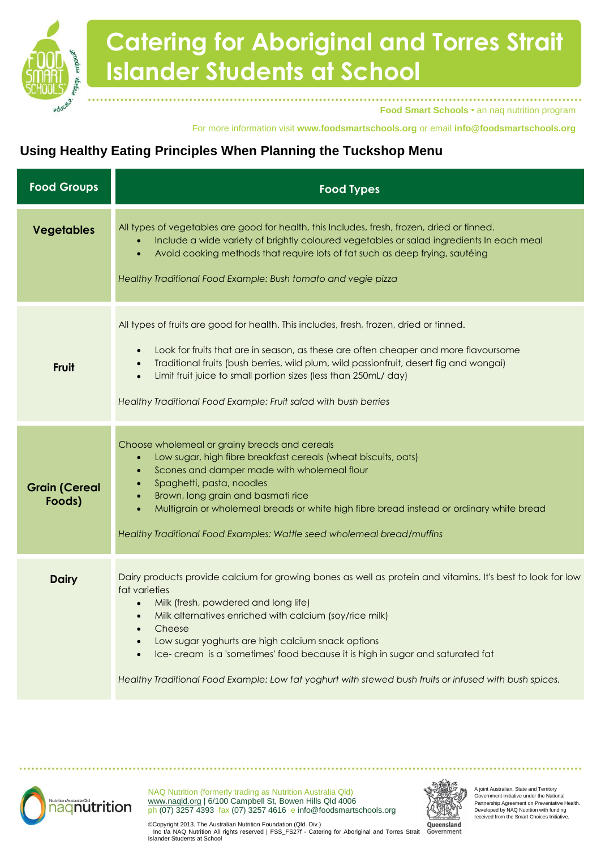

**Food Smart Schools** • an naq nutrition program

#### For more information visit **www.foodsmartschools.org** or email **info@foodsmartschools.org**

### **Using Healthy Eating Principles When Planning the Tuckshop Menu**

| <b>Food Groups</b>             | <b>Food Types</b>                                                                                                                                                                                                                                                                                                                                                                                                                                                                                                   |
|--------------------------------|---------------------------------------------------------------------------------------------------------------------------------------------------------------------------------------------------------------------------------------------------------------------------------------------------------------------------------------------------------------------------------------------------------------------------------------------------------------------------------------------------------------------|
| <b>Vegetables</b>              | All types of vegetables are good for health, this Includes, fresh, frozen, dried or tinned.<br>Include a wide variety of brightly coloured vegetables or salad ingredients In each meal<br>Avoid cooking methods that require lots of fat such as deep frying, sautéing<br>$\bullet$<br>Healthy Traditional Food Example: Bush tomato and vegie pizza                                                                                                                                                               |
| <b>Fruit</b>                   | All types of fruits are good for health. This includes, fresh, frozen, dried or tinned.<br>Look for fruits that are in season, as these are often cheaper and more flavoursome<br>Traditional fruits (bush berries, wild plum, wild passionfruit, desert fig and wongai)<br>Limit fruit juice to small portion sizes (less than 250mL/ day)<br>Healthy Traditional Food Example: Fruit salad with bush berries                                                                                                      |
| <b>Grain (Cereal</b><br>Foods) | Choose wholemeal or grainy breads and cereals<br>Low sugar, high fibre breakfast cereals (wheat biscuits, oats)<br>$\bullet$<br>Scones and damper made with wholemeal flour<br>$\bullet$<br>Spaghetti, pasta, noodles<br>$\bullet$<br>Brown, long grain and basmati rice<br>Multigrain or wholemeal breads or white high fibre bread instead or ordinary white bread<br>Healthy Traditional Food Examples: Wattle seed wholemeal bread/muffins                                                                      |
| <b>Dairy</b>                   | Dairy products provide calcium for growing bones as well as protein and vitamins. It's best to look for low<br>fat varieties<br>Milk (fresh, powdered and long life)<br>$\bullet$<br>Milk alternatives enriched with calcium (soy/rice milk)<br>Cheese<br>Low sugar yoghurts are high calcium snack options<br>$\bullet$<br>Ice-cream is a 'sometimes' food because it is high in sugar and saturated fat<br>Healthy Traditional Food Example: Low fat yoghurt with stewed bush fruits or infused with bush spices. |



NAQ Nutrition (formerly trading as Nutrition Australia Qld) www.naqld.org | 6/100 Campbell St, Bowen Hills Qld 4006 ph (07) 3257 4393 fax (07) 3257 4616 e info@foodsmartschools.org



A joint Australian, State and Territory Government initiative under the National Partnership Agreement on Preventative Health. Developed by NAQ Nutrition with funding received from the Smart Choices Initiative.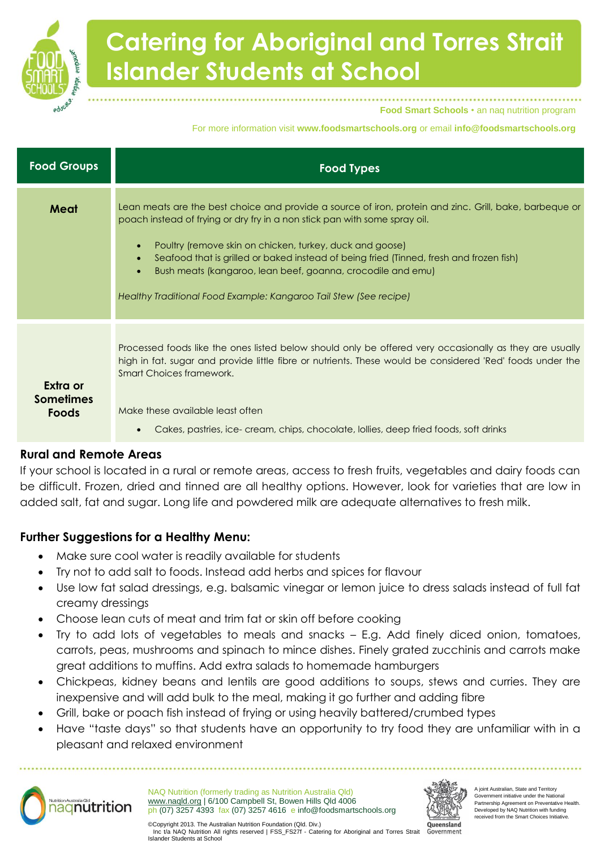

**Food Smart Schools** • an naq nutrition program

For more information visit **www.foodsmartschools.org** or email **info@foodsmartschools.org**

| <b>Food Groups</b>                           | <b>Food Types</b>                                                                                                                                                                                                                                                                                                                                                                                                                                                                |
|----------------------------------------------|----------------------------------------------------------------------------------------------------------------------------------------------------------------------------------------------------------------------------------------------------------------------------------------------------------------------------------------------------------------------------------------------------------------------------------------------------------------------------------|
| Meat                                         | Lean meats are the best choice and provide a source of iron, protein and zinc. Grill, bake, barbeque or<br>poach instead of frying or dry fry in a non stick pan with some spray oil.<br>Poultry (remove skin on chicken, turkey, duck and goose)<br>Seafood that is grilled or baked instead of being fried (Tinned, fresh and frozen fish)<br>Bush meats (kangaroo, lean beef, goanna, crocodile and emu)<br>Healthy Traditional Food Example: Kangaroo Tail Stew (See recipe) |
| Extra or<br><b>Sometimes</b><br><b>Foods</b> | Processed foods like the ones listed below should only be offered very occasionally as they are usually<br>high in fat. sugar and provide little fibre or nutrients. These would be considered 'Red' foods under the<br>Smart Choices framework.<br>Make these available least often<br>Cakes, pastries, ice-cream, chips, chocolate, lollies, deep fried foods, soft drinks                                                                                                     |

### **Rural and Remote Areas**

If your school is located in a rural or remote areas, access to fresh fruits, vegetables and dairy foods can be difficult. Frozen, dried and tinned are all healthy options. However, look for varieties that are low in added salt, fat and sugar. Long life and powdered milk are adequate alternatives to fresh milk.

### **Further Suggestions for a Healthy Menu:**

- Make sure cool water is readily available for students
- Try not to add salt to foods. Instead add herbs and spices for flavour
- Use low fat salad dressings, e.g. balsamic vinegar or lemon juice to dress salads instead of full fat creamy dressings
- Choose lean cuts of meat and trim fat or skin off before cooking
- Try to add lots of vegetables to meals and snacks E.g. Add finely diced onion, tomatoes, carrots, peas, mushrooms and spinach to mince dishes. Finely grated zucchinis and carrots make great additions to muffins. Add extra salads to homemade hamburgers
- Chickpeas, kidney beans and lentils are good additions to soups, stews and curries. They are inexpensive and will add bulk to the meal, making it go further and adding fibre
- Grill, bake or poach fish instead of frying or using heavily battered/crumbed types
- Have "taste days" so that students have an opportunity to try food they are unfamiliar with in a pleasant and relaxed environment



NAQ Nutrition (formerly trading as Nutrition Australia Qld) www.naqld.org | 6/100 Campbell St, Bowen Hills Qld 4006 ph (07) 3257 4393 fax (07) 3257 4616 e info@foodsmartschools.org



ioint Australian, State and Territory Government initiative under the National Partnership Agreement on Preventative Health. Developed by NAQ Nutrition with funding received from the Smart Choices Initiative.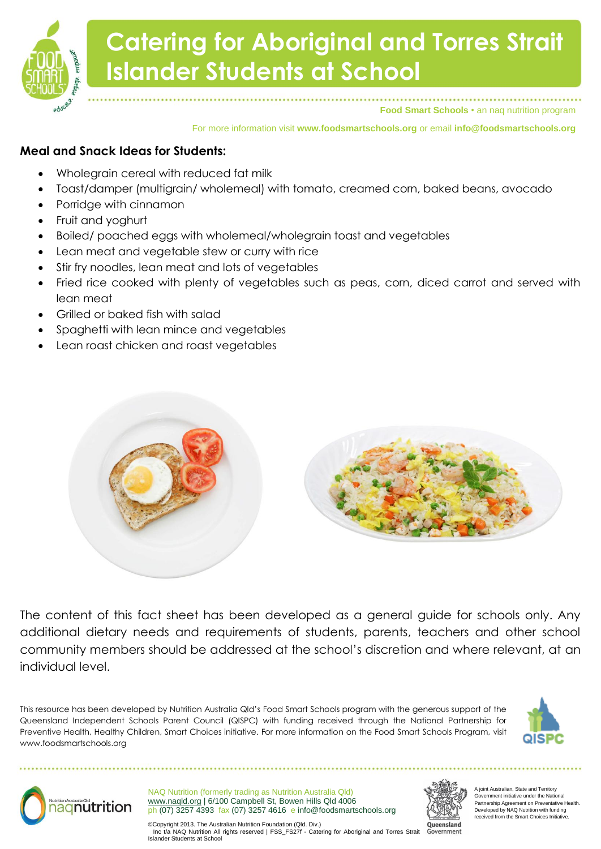

**Food Smart Schools** • an naq nutrition program

For more information visit **www.foodsmartschools.org** or email **info@foodsmartschools.org**

### **Meal and Snack Ideas for Students:**

- Wholegrain cereal with reduced fat milk
- Toast/damper (multigrain/ wholemeal) with tomato, creamed corn, baked beans, avocado
- Porridge with cinnamon
- Fruit and yoghurt
- Boiled/ poached eggs with wholemeal/wholegrain toast and vegetables
- Lean meat and vegetable stew or curry with rice
- Stir fry noodles, lean meat and lots of vegetables
- Fried rice cooked with plenty of vegetables such as peas, corn, diced carrot and served with lean meat
- Grilled or baked fish with salad
- Spaghetti with lean mince and vegetables
- Lean roast chicken and roast vegetables



The content of this fact sheet has been developed as a general guide for schools only. Any additional dietary needs and requirements of students, parents, teachers and other school community members should be addressed at the school's discretion and where relevant, at an individual level.

This resource has been developed by Nutrition Australia Qld's Food Smart Schools program with the generous support of the Queensland Independent Schools Parent Council (QISPC) with funding received through the National Partnership for Preventive Health, Healthy Children, Smart Choices initiative. For more information on the Food Smart Schools Program, visit www.foodsmartschools.org





NAQ Nutrition (formerly trading as Nutrition Australia Qld) www.naqld.org | 6/100 Campbell St, Bowen Hills Qld 4006 ph (07) 3257 4393 fax (07) 3257 4616 e info@foodsmartschools.org



joint Australian, State and Territory Government initiative under the National Partnership Agreement on Preventative Health. Developed by NAQ Nutrition with funding received from the Smart Choices Initiative.